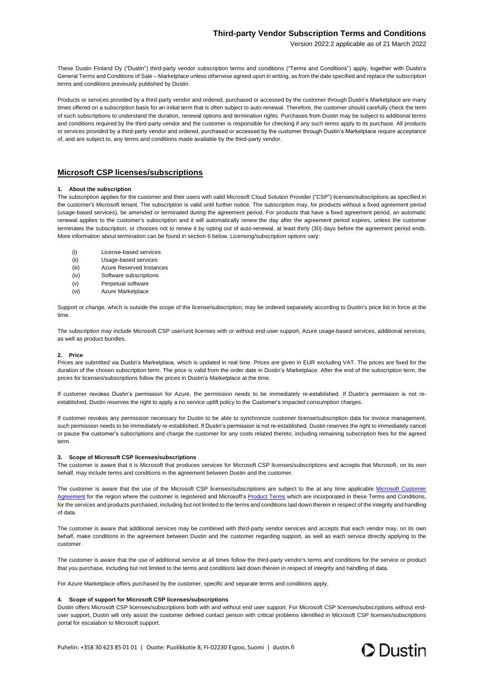# **Third-party Vendor Subscription Terms and Conditions**

Version 2022:2 applicable as of 21 March 2022

These Dustin Finland Oy ("Dustin") third-party vendor subscription terms and conditions ("Terms and Conditions") apply, together with Dustin's General Terms and Conditions of Sale – Marketplace unless otherwise agreed upon in writing, as from the date specified and replace the subscription terms and conditions previously published by Dustin.

Products or services provided by a third-party vendor and ordered, purchased or accessed by the customer through Dustin's Marketplace are many times offered on a subscription basis for an initial term that is often subject to auto-renewal. Therefore, the customer should carefully check the term of such subscriptions to understand the duration, renewal options and termination rights. Purchases from Dustin may be subject to additional terms and conditions required by the third-party vendor and the customer is responsible for checking if any such terms apply to its purchase. All products or services provided by a third-party vendor and ordered, purchased or accessed by the customer through Dustin's Marketplace require acceptance of, and are subject to, any terms and conditions made available by the third-party vendor.

## **Microsoft CSP licenses/subscriptions**

## **1. About the subscription**

The subscription applies for the customer and their users with valid Microsoft Cloud Solution Provider ("CSP") licenses/subscriptions as specified in the customer's Microsoft tenant. The subscription is valid until further notice. The subscription may, for products without a fixed agreement period (usage-based services), be amended or terminated during the agreement period. For products that have a fixed agreement period, an automatic renewal applies to the customer's subscription and it will automatically renew the day after the agreement period expires, unless the customer terminates the subscription, or chooses not to renew it by opting out of auto-renewal, at least thirty (30) days before the agreement period ends. More information about termination can be found in section 6 below. Licensing/subscription options vary:

- (i) License-based services
- (ii) Usage-based services
- (iii) Azure Reserved Instances
- (iv) Software subscriptions
- (v) Perpetual software
- (vi) Azure Marketplace

Support or change, which is outside the scope of the license/subscription, may be ordered separately according to Dustin's price list in force at the time.

The subscription may include Microsoft CSP user/unit licenses with or without end-user support, Azure usage-based services, additional services, as well as product bundles.

#### **2. Price**

Prices are submitted via Dustin's Marketplace, which is updated in real time. Prices are given in EUR excluding VAT. The prices are fixed for the duration of the chosen subscription term. The price is valid from the order date in Dustin's Marketplace. After the end of the subscription term, the prices for licenses/subscriptions follow the prices in Dustin's Marketplace at the time.

If customer revokes Dustin's permission for Azure, the permission needs to be immediately re-established. If Dustin's permission is not reestablished, Dustin reserves the right to apply a no service uplift policy to the Customer's impacted consumption charges.

If customer revokes any permission necessary for Dustin to be able to synchronize customer license/subscription data for invoice management, such permission needs to be immediately re-established. If Dustin's permission is not re-established, Dustin reserves the right to immediately cancel or pause the customer's subscriptions and charge the customer for any costs related thereto, including remaining subscription fees for the agreed term.

### **3. Scope of Microsoft CSP licenses/subscriptions**

The customer is aware that it is Microsoft that produces services for Microsoft CSP licenses/subscriptions and accepts that Microsoft, on its own behalf, may include terms and conditions in the agreement between Dustin and the customer.

The customer is aware that the use of the Microsoft CSP licenses/subscriptions are subject to the at any time applicable Microsoft Customer [Agreement](https://www.microsoft.com/licensing/docs/customeragreement) for the region where the customer is registered and Microsoft's [Product Terms](https://www.microsoft.com/licensing/terms) which are incorporated in these Terms and Conditions, for the services and products purchased, including but not limited to the terms and conditions laid down therein in respect of the integrity and handling of data.

The customer is aware that additional services may be combined with third-party vendor services and accepts that each vendor may, on its own behalf, make conditions in the agreement between Dustin and the customer regarding support, as well as each service directly applying to the customer.

The customer is aware that the use of additional service at all times follow the third-party vendor's terms and conditions for the service or product that you purchase, including but not limited to the terms and conditions laid down therein in respect of integrity and handling of data.

For Azure Marketplace offers purchased by the customer, specific and separate terms and conditions apply.

## **4. Scope of support for Microsoft CSP licenses/subscriptions**

Dustin offers Microsoft CSP licenses/subscriptions both with and without end user support. For Microsoft CSP licenses/subscriptions without enduser support, Dustin will only assist the customer defined contact person with critical problems identified in Microsoft CSP licenses/subscriptions portal for escalation to Microsoft support.

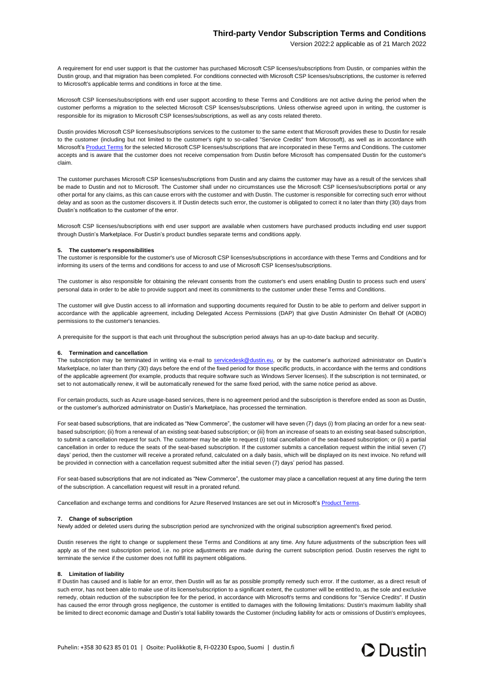## **Third-party Vendor Subscription Terms and Conditions**

Version 2022:2 applicable as of 21 March 2022

A requirement for end user support is that the customer has purchased Microsoft CSP licenses/subscriptions from Dustin, or companies within the Dustin group, and that migration has been completed. For conditions connected with Microsoft CSP licenses/subscriptions, the customer is referred to Microsoft's applicable terms and conditions in force at the time.

Microsoft CSP licenses/subscriptions with end user support according to these Terms and Conditions are not active during the period when the customer performs a migration to the selected Microsoft CSP licenses/subscriptions. Unless otherwise agreed upon in writing, the customer is responsible for its migration to Microsoft CSP licenses/subscriptions, as well as any costs related thereto.

Dustin provides Microsoft CSP licenses/subscriptions services to the customer to the same extent that Microsoft provides these to Dustin for resale to the customer (including but not limited to the customer's right to so-called "Service Credits" from Microsoft), as well as in accordance with Microsoft's [Product Terms](https://www.microsoft.com/licensing/terms) for the selected Microsoft CSP licenses/subscriptions that are incorporated in these Terms and Conditions. The customer accepts and is aware that the customer does not receive compensation from Dustin before Microsoft has compensated Dustin for the customer's claim.

The customer purchases Microsoft CSP licenses/subscriptions from Dustin and any claims the customer may have as a result of the services shall be made to Dustin and not to Microsoft. The Customer shall under no circumstances use the Microsoft CSP licenses/subscriptions portal or any other portal for any claims, as this can cause errors with the customer and with Dustin. The customer is responsible for correcting such error without delay and as soon as the customer discovers it. If Dustin detects such error, the customer is obligated to correct it no later than thirty (30) days from Dustin's notification to the customer of the error.

Microsoft CSP licenses/subscriptions with end user support are available when customers have purchased products including end user support through Dustin's Marketplace. For Dustin's product bundles separate terms and conditions apply.

#### **5. The customer's responsibilities**

The customer is responsible for the customer's use of Microsoft CSP licenses/subscriptions in accordance with these Terms and Conditions and for informing its users of the terms and conditions for access to and use of Microsoft CSP licenses/subscriptions.

The customer is also responsible for obtaining the relevant consents from the customer's end users enabling Dustin to process such end users' personal data in order to be able to provide support and meet its commitments to the customer under these Terms and Conditions.

The customer will give Dustin access to all information and supporting documents required for Dustin to be able to perform and deliver support in accordance with the applicable agreement, including Delegated Access Permissions (DAP) that give Dustin Administer On Behalf Of (AOBO) permissions to the customer's tenancies.

A prerequisite for the support is that each unit throughout the subscription period always has an up-to-date backup and security.

#### **6. Termination and cancellation**

The subscription may be terminated in writing via e-mail to [servicedesk@dustin.eu,](mailto:servicedesk@dustin.eu) or by the customer's authorized administrator on Dustin's Marketplace, no later than thirty (30) days before the end of the fixed period for those specific products, in accordance with the terms and conditions of the applicable agreement (for example, products that require software such as Windows Server licenses). If the subscription is not terminated, or set to not automatically renew, it will be automatically renewed for the same fixed period, with the same notice period as above.

For certain products, such as Azure usage-based services, there is no agreement period and the subscription is therefore ended as soon as Dustin, or the customer's authorized administrator on Dustin's Marketplace, has processed the termination.

For seat-based subscriptions, that are indicated as "New Commerce", the customer will have seven (7) days (i) from placing an order for a new seatbased subscription; (ii) from a renewal of an existing seat-based subscription; or (iii) from an increase of seats to an existing seat-based subscription, to submit a cancellation request for such. The customer may be able to request (i) total cancellation of the seat-based subscription; or (ii) a partial cancellation in order to reduce the seats of the seat-based subscription. If the customer submits a cancellation request within the initial seven (7) days' period, then the customer will receive a prorated refund, calculated on a daily basis, which will be displayed on its next invoice. No refund will be provided in connection with a cancellation request submitted after the initial seven (7) days' period has passed.

For seat-based subscriptions that are not indicated as "New Commerce", the customer may place a cancellation request at any time during the term of the subscription. A cancellation request will result in a prorated refund.

Cancellation and exchange terms and conditions for Azure Reserved Instances are set out in Microsoft's [Product Terms.](https://www.microsoft.com/licensing/terms)

## **7. Change of subscription**

Newly added or deleted users during the subscription period are synchronized with the original subscription agreement's fixed period.

Dustin reserves the right to change or supplement these Terms and Conditions at any time. Any future adjustments of the subscription fees will apply as of the next subscription period, i.e. no price adjustments are made during the current subscription period. Dustin reserves the right to terminate the service if the customer does not fulfill its payment obligations.

## **8. Limitation of liability**

If Dustin has caused and is liable for an error, then Dustin will as far as possible promptly remedy such error. If the customer, as a direct result of such error, has not been able to make use of its license/subscription to a significant extent, the customer will be entitled to, as the sole and exclusive remedy, obtain reduction of the subscription fee for the period, in accordance with Microsoft's terms and conditions for "Service Credits". If Dustin has caused the error through gross negligence, the customer is entitled to damages with the following limitations: Dustin's maximum liability shall be limited to direct economic damage and Dustin's total liability towards the Customer (including liability for acts or omissions of Dustin's employees,